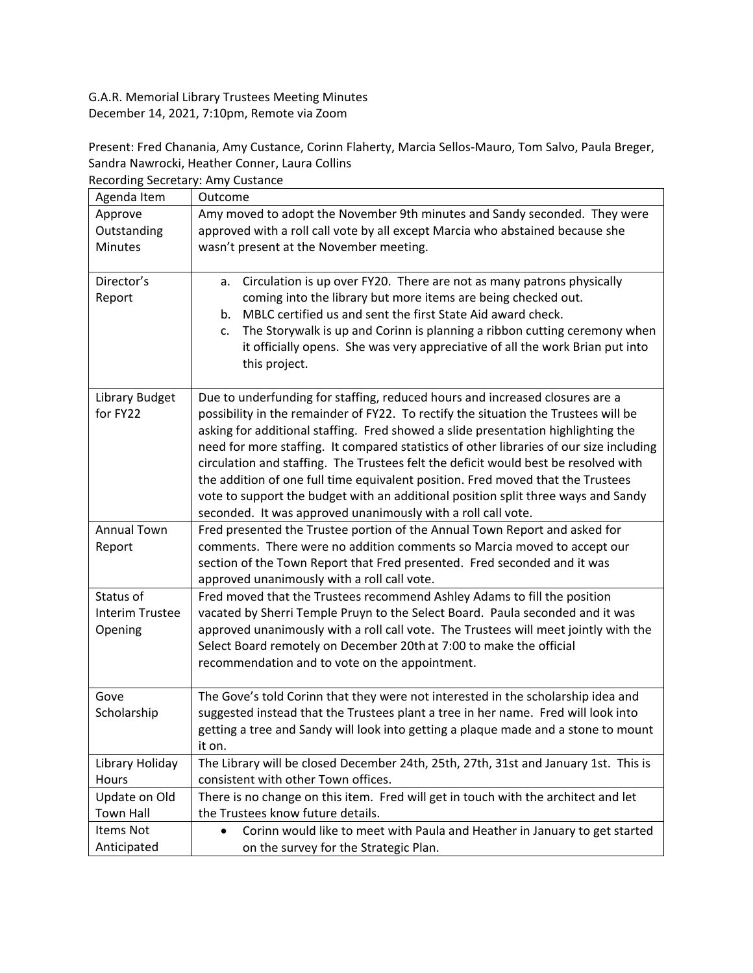G.A.R. Memorial Library Trustees Meeting Minutes December 14, 2021, 7:10pm, Remote via Zoom

Present: Fred Chanania, Amy Custance, Corinn Flaherty, Marcia Sellos-Mauro, Tom Salvo, Paula Breger, Sandra Nawrocki, Heather Conner, Laura Collins Recording Secretary: Amy Custance

| Agenda Item            | ccorums beeretary. Anny eastance<br>Outcome                                             |
|------------------------|-----------------------------------------------------------------------------------------|
|                        |                                                                                         |
| Approve                | Amy moved to adopt the November 9th minutes and Sandy seconded. They were               |
| Outstanding            | approved with a roll call vote by all except Marcia who abstained because she           |
| Minutes                | wasn't present at the November meeting.                                                 |
|                        |                                                                                         |
| Director's             | Circulation is up over FY20. There are not as many patrons physically<br>а.             |
| Report                 | coming into the library but more items are being checked out.                           |
|                        | MBLC certified us and sent the first State Aid award check.<br>b.                       |
|                        | The Storywalk is up and Corinn is planning a ribbon cutting ceremony when<br>c.         |
|                        | it officially opens. She was very appreciative of all the work Brian put into           |
|                        | this project.                                                                           |
|                        |                                                                                         |
| Library Budget         | Due to underfunding for staffing, reduced hours and increased closures are a            |
| for FY22               | possibility in the remainder of FY22. To rectify the situation the Trustees will be     |
|                        | asking for additional staffing. Fred showed a slide presentation highlighting the       |
|                        | need for more staffing. It compared statistics of other libraries of our size including |
|                        | circulation and staffing. The Trustees felt the deficit would best be resolved with     |
|                        | the addition of one full time equivalent position. Fred moved that the Trustees         |
|                        | vote to support the budget with an additional position split three ways and Sandy       |
|                        | seconded. It was approved unanimously with a roll call vote.                            |
| <b>Annual Town</b>     | Fred presented the Trustee portion of the Annual Town Report and asked for              |
| Report                 | comments. There were no addition comments so Marcia moved to accept our                 |
|                        | section of the Town Report that Fred presented. Fred seconded and it was                |
|                        | approved unanimously with a roll call vote.                                             |
| Status of              | Fred moved that the Trustees recommend Ashley Adams to fill the position                |
| <b>Interim Trustee</b> | vacated by Sherri Temple Pruyn to the Select Board. Paula seconded and it was           |
| Opening                | approved unanimously with a roll call vote. The Trustees will meet jointly with the     |
|                        | Select Board remotely on December 20th at 7:00 to make the official                     |
|                        | recommendation and to vote on the appointment.                                          |
|                        |                                                                                         |
| Gove                   | The Gove's told Corinn that they were not interested in the scholarship idea and        |
| Scholarship            | suggested instead that the Trustees plant a tree in her name. Fred will look into       |
|                        | getting a tree and Sandy will look into getting a plaque made and a stone to mount      |
|                        | it on.                                                                                  |
| Library Holiday        | The Library will be closed December 24th, 25th, 27th, 31st and January 1st. This is     |
| Hours                  | consistent with other Town offices.                                                     |
| Update on Old          | There is no change on this item. Fred will get in touch with the architect and let      |
| <b>Town Hall</b>       | the Trustees know future details.                                                       |
| Items Not              | Corinn would like to meet with Paula and Heather in January to get started              |
|                        |                                                                                         |
| Anticipated            | on the survey for the Strategic Plan.                                                   |